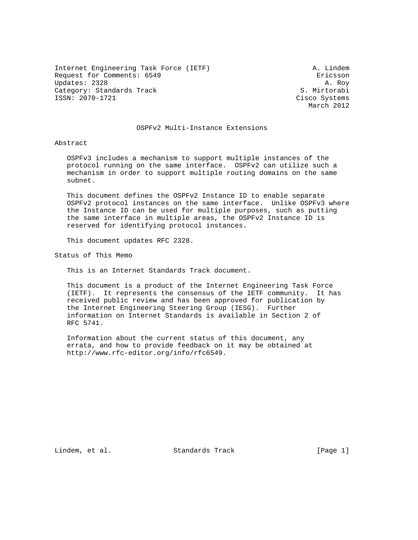Internet Engineering Task Force (IETF) A. Lindem Request for Comments: 6549 **Exercise Example 2018** Exicsson Updates: 2328 A. Roy Category: Standards Track S. Mirtorabi ISSN: 2070-1721 Cisco Systems

March 2012

### OSPFv2 Multi-Instance Extensions

Abstract

 OSPFv3 includes a mechanism to support multiple instances of the protocol running on the same interface. OSPFv2 can utilize such a mechanism in order to support multiple routing domains on the same subnet.

 This document defines the OSPFv2 Instance ID to enable separate OSPFv2 protocol instances on the same interface. Unlike OSPFv3 where the Instance ID can be used for multiple purposes, such as putting the same interface in multiple areas, the OSPFv2 Instance ID is reserved for identifying protocol instances.

This document updates RFC 2328.

Status of This Memo

This is an Internet Standards Track document.

 This document is a product of the Internet Engineering Task Force (IETF). It represents the consensus of the IETF community. It has received public review and has been approved for publication by the Internet Engineering Steering Group (IESG). Further information on Internet Standards is available in Section 2 of RFC 5741.

 Information about the current status of this document, any errata, and how to provide feedback on it may be obtained at http://www.rfc-editor.org/info/rfc6549.

Lindem, et al. Standards Track [Page 1]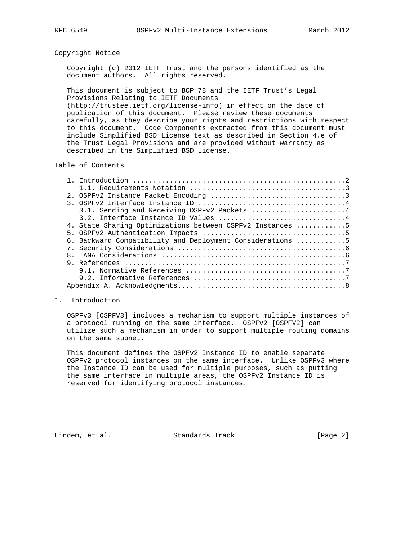### Copyright Notice

 Copyright (c) 2012 IETF Trust and the persons identified as the document authors. All rights reserved.

 This document is subject to BCP 78 and the IETF Trust's Legal Provisions Relating to IETF Documents

 (http://trustee.ietf.org/license-info) in effect on the date of publication of this document. Please review these documents carefully, as they describe your rights and restrictions with respect to this document. Code Components extracted from this document must include Simplified BSD License text as described in Section 4.e of the Trust Legal Provisions and are provided without warranty as described in the Simplified BSD License.

# Table of Contents

|  | 3.1. Sending and Receiving OSPFv2 Packets  4              |
|--|-----------------------------------------------------------|
|  |                                                           |
|  | 4. State Sharing Optimizations between OSPFv2 Instances 5 |
|  |                                                           |
|  | 6. Backward Compatibility and Deployment Considerations 5 |
|  |                                                           |
|  |                                                           |
|  |                                                           |
|  |                                                           |
|  |                                                           |
|  |                                                           |

### 1. Introduction

 OSPFv3 [OSPFV3] includes a mechanism to support multiple instances of a protocol running on the same interface. OSPFv2 [OSPFV2] can utilize such a mechanism in order to support multiple routing domains on the same subnet.

 This document defines the OSPFv2 Instance ID to enable separate OSPFv2 protocol instances on the same interface. Unlike OSPFv3 where the Instance ID can be used for multiple purposes, such as putting the same interface in multiple areas, the OSPFv2 Instance ID is reserved for identifying protocol instances.

Lindem, et al. Standards Track [Page 2]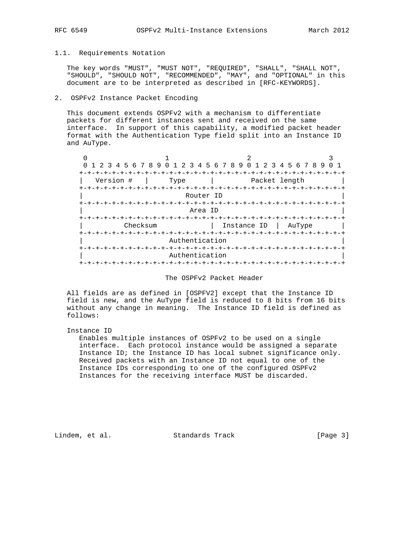### 1.1. Requirements Notation

 The key words "MUST", "MUST NOT", "REQUIRED", "SHALL", "SHALL NOT", "SHOULD", "SHOULD NOT", "RECOMMENDED", "MAY", and "OPTIONAL" in this document are to be interpreted as described in [RFC-KEYWORDS].

# 2. OSPFv2 Instance Packet Encoding

 This document extends OSPFv2 with a mechanism to differentiate packets for different instances sent and received on the same interface. In support of this capability, a modified packet header format with the Authentication Type field split into an Instance ID and AuType.

| 0                                                        |                                                                                       | 1 2 3 4 5 6 7 8 9 0 1 2 3 4 5 6 7 8 9 0 1 2 3 4 5 6 7 8 9 |        |  |  |
|----------------------------------------------------------|---------------------------------------------------------------------------------------|-----------------------------------------------------------|--------|--|--|
| Version #<br>+-+-+-+-+-+-+-                              | Type<br>-+-+-+-+-+-+-+-+                                                              | Packet length<br>-+-+-+-+-+-+-+-+-+-+-+-+-+-+-            |        |  |  |
| Router ID                                                |                                                                                       |                                                           |        |  |  |
|                                                          | <b>+-+-+-+-+-+-+-</b><br>+-+-+-+-+-+-+-+-+-+-+-+-+<br>+-+-+-+-+-+-+-+-+-+-<br>Area ID |                                                           |        |  |  |
| Checksum                                                 |                                                                                       | Instance ID                                               | AuType |  |  |
| Authentication<br>Authentication<br>-+-+-+-+-+-+-+-+-+-+ |                                                                                       |                                                           |        |  |  |

# The OSPFv2 Packet Header

 All fields are as defined in [OSPFV2] except that the Instance ID field is new, and the AuType field is reduced to 8 bits from 16 bits without any change in meaning. The Instance ID field is defined as follows:

#### Instance ID

 Enables multiple instances of OSPFv2 to be used on a single interface. Each protocol instance would be assigned a separate Instance ID; the Instance ID has local subnet significance only. Received packets with an Instance ID not equal to one of the Instance IDs corresponding to one of the configured OSPFv2 Instances for the receiving interface MUST be discarded.

Lindem, et al. Standards Track [Page 3]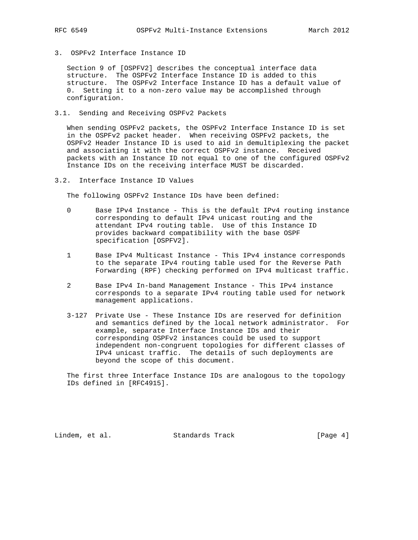- 
- 3. OSPFv2 Interface Instance ID

 Section 9 of [OSPFV2] describes the conceptual interface data structure. The OSPFv2 Interface Instance ID is added to this structure. The OSPFv2 Interface Instance ID has a default value of 0. Setting it to a non-zero value may be accomplished through configuration.

3.1. Sending and Receiving OSPFv2 Packets

 When sending OSPFv2 packets, the OSPFv2 Interface Instance ID is set in the OSPFv2 packet header. When receiving OSPFv2 packets, the OSPFv2 Header Instance ID is used to aid in demultiplexing the packet and associating it with the correct OSPFv2 instance. Received packets with an Instance ID not equal to one of the configured OSPFv2 Instance IDs on the receiving interface MUST be discarded.

3.2. Interface Instance ID Values

The following OSPFv2 Instance IDs have been defined:

- 0 Base IPv4 Instance This is the default IPv4 routing instance corresponding to default IPv4 unicast routing and the attendant IPv4 routing table. Use of this Instance ID provides backward compatibility with the base OSPF specification [OSPFV2].
- 1 Base IPv4 Multicast Instance This IPv4 instance corresponds to the separate IPv4 routing table used for the Reverse Path Forwarding (RPF) checking performed on IPv4 multicast traffic.
- 2 Base IPv4 In-band Management Instance This IPv4 instance corresponds to a separate IPv4 routing table used for network management applications.
- 3-127 Private Use These Instance IDs are reserved for definition and semantics defined by the local network administrator. For example, separate Interface Instance IDs and their corresponding OSPFv2 instances could be used to support independent non-congruent topologies for different classes of IPv4 unicast traffic. The details of such deployments are beyond the scope of this document.

 The first three Interface Instance IDs are analogous to the topology IDs defined in [RFC4915].

Lindem, et al. Standards Track [Page 4]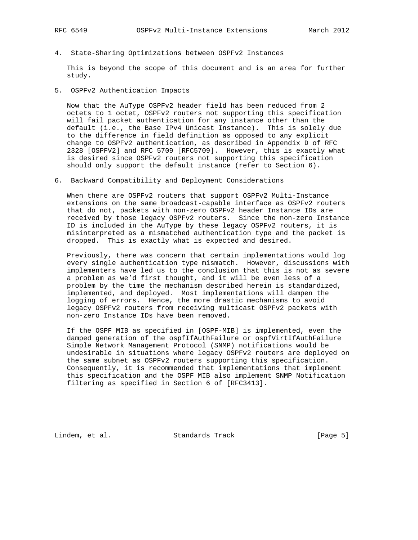4. State-Sharing Optimizations between OSPFv2 Instances

 This is beyond the scope of this document and is an area for further study.

5. OSPFv2 Authentication Impacts

 Now that the AuType OSPFv2 header field has been reduced from 2 octets to 1 octet, OSPFv2 routers not supporting this specification will fail packet authentication for any instance other than the default (i.e., the Base IPv4 Unicast Instance). This is solely due to the difference in field definition as opposed to any explicit change to OSPFv2 authentication, as described in Appendix D of RFC 2328 [OSPFV2] and RFC 5709 [RFC5709]. However, this is exactly what is desired since OSPFv2 routers not supporting this specification should only support the default instance (refer to Section 6).

6. Backward Compatibility and Deployment Considerations

 When there are OSPFv2 routers that support OSPFv2 Multi-Instance extensions on the same broadcast-capable interface as OSPFv2 routers that do not, packets with non-zero OSPFv2 header Instance IDs are received by those legacy OSPFv2 routers. Since the non-zero Instance ID is included in the AuType by these legacy OSPFv2 routers, it is misinterpreted as a mismatched authentication type and the packet is dropped. This is exactly what is expected and desired.

 Previously, there was concern that certain implementations would log every single authentication type mismatch. However, discussions with implementers have led us to the conclusion that this is not as severe a problem as we'd first thought, and it will be even less of a problem by the time the mechanism described herein is standardized, implemented, and deployed. Most implementations will dampen the logging of errors. Hence, the more drastic mechanisms to avoid legacy OSPFv2 routers from receiving multicast OSPFv2 packets with non-zero Instance IDs have been removed.

 If the OSPF MIB as specified in [OSPF-MIB] is implemented, even the damped generation of the ospfIfAuthFailure or ospfVirtIfAuthFailure Simple Network Management Protocol (SNMP) notifications would be undesirable in situations where legacy OSPFv2 routers are deployed on the same subnet as OSPFv2 routers supporting this specification. Consequently, it is recommended that implementations that implement this specification and the OSPF MIB also implement SNMP Notification filtering as specified in Section 6 of [RFC3413].

Lindem, et al. Standards Track [Page 5]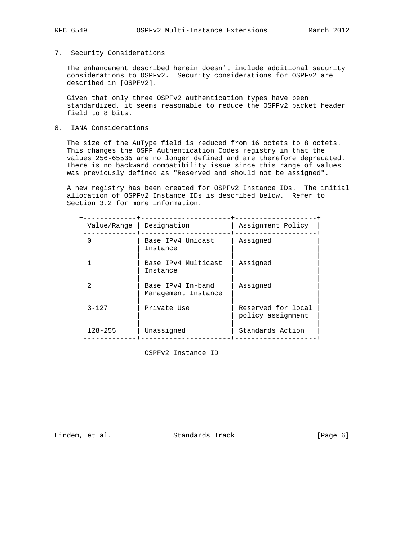# 7. Security Considerations

 The enhancement described herein doesn't include additional security considerations to OSPFv2. Security considerations for OSPFv2 are described in [OSPFV2].

 Given that only three OSPFv2 authentication types have been standardized, it seems reasonable to reduce the OSPFv2 packet header field to 8 bits.

8. IANA Considerations

The size of the AuType field is reduced from 16 octets to 8 octets. This changes the OSPF Authentication Codes registry in that the values 256-65535 are no longer defined and are therefore deprecated. There is no backward compatibility issue since this range of values was previously defined as "Reserved and should not be assigned".

 A new registry has been created for OSPFv2 Instance IDs. The initial allocation of OSPFv2 Instance IDs is described below. Refer to Section 3.2 for more information.

| Value/Range    | Designation                              | Assignment Policy                       |
|----------------|------------------------------------------|-----------------------------------------|
| O              | Base IPv4 Unicast<br>Instance            | Assigned                                |
|                | Base IPv4 Multicast<br>Instance          | Assigned                                |
| $\mathfrak{D}$ | Base IPv4 In-band<br>Management Instance | Assigned                                |
| $3 - 127$      | Private Use                              | Reserved for local<br>policy assignment |
| $128 - 255$    | Unassigned                               | Standards Action                        |

OSPFv2 Instance ID

Lindem, et al. Standards Track [Page 6]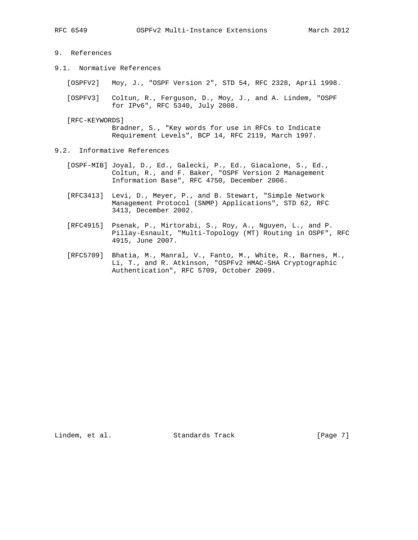- 
- 9. References
- 9.1. Normative References

[OSPFV2] Moy, J., "OSPF Version 2", STD 54, RFC 2328, April 1998.

 [OSPFV3] Coltun, R., Ferguson, D., Moy, J., and A. Lindem, "OSPF for IPv6", RFC 5340, July 2008.

[RFC-KEYWORDS]

 Bradner, S., "Key words for use in RFCs to Indicate Requirement Levels", BCP 14, RFC 2119, March 1997.

- 9.2. Informative References
	- [OSPF-MIB] Joyal, D., Ed., Galecki, P., Ed., Giacalone, S., Ed., Coltun, R., and F. Baker, "OSPF Version 2 Management Information Base", RFC 4750, December 2006.
	- [RFC3413] Levi, D., Meyer, P., and B. Stewart, "Simple Network Management Protocol (SNMP) Applications", STD 62, RFC 3413, December 2002.
	- [RFC4915] Psenak, P., Mirtorabi, S., Roy, A., Nguyen, L., and P. Pillay-Esnault, "Multi-Topology (MT) Routing in OSPF", RFC 4915, June 2007.
	- [RFC5709] Bhatia, M., Manral, V., Fanto, M., White, R., Barnes, M., Li, T., and R. Atkinson, "OSPFv2 HMAC-SHA Cryptographic Authentication", RFC 5709, October 2009.

Lindem, et al. Standards Track [Page 7]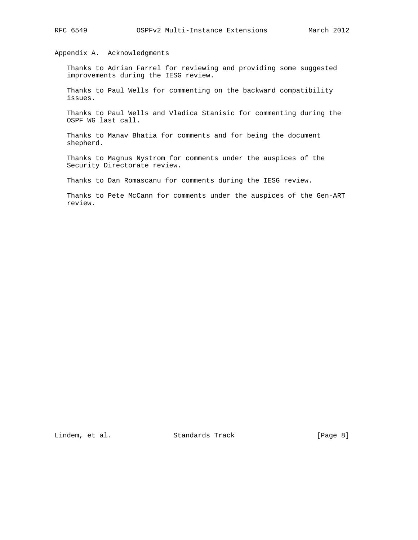# Appendix A. Acknowledgments

 Thanks to Adrian Farrel for reviewing and providing some suggested improvements during the IESG review.

 Thanks to Paul Wells for commenting on the backward compatibility issues.

 Thanks to Paul Wells and Vladica Stanisic for commenting during the OSPF WG last call.

 Thanks to Manav Bhatia for comments and for being the document shepherd.

 Thanks to Magnus Nystrom for comments under the auspices of the Security Directorate review.

Thanks to Dan Romascanu for comments during the IESG review.

 Thanks to Pete McCann for comments under the auspices of the Gen-ART review.

Lindem, et al. Standards Track [Page 8]